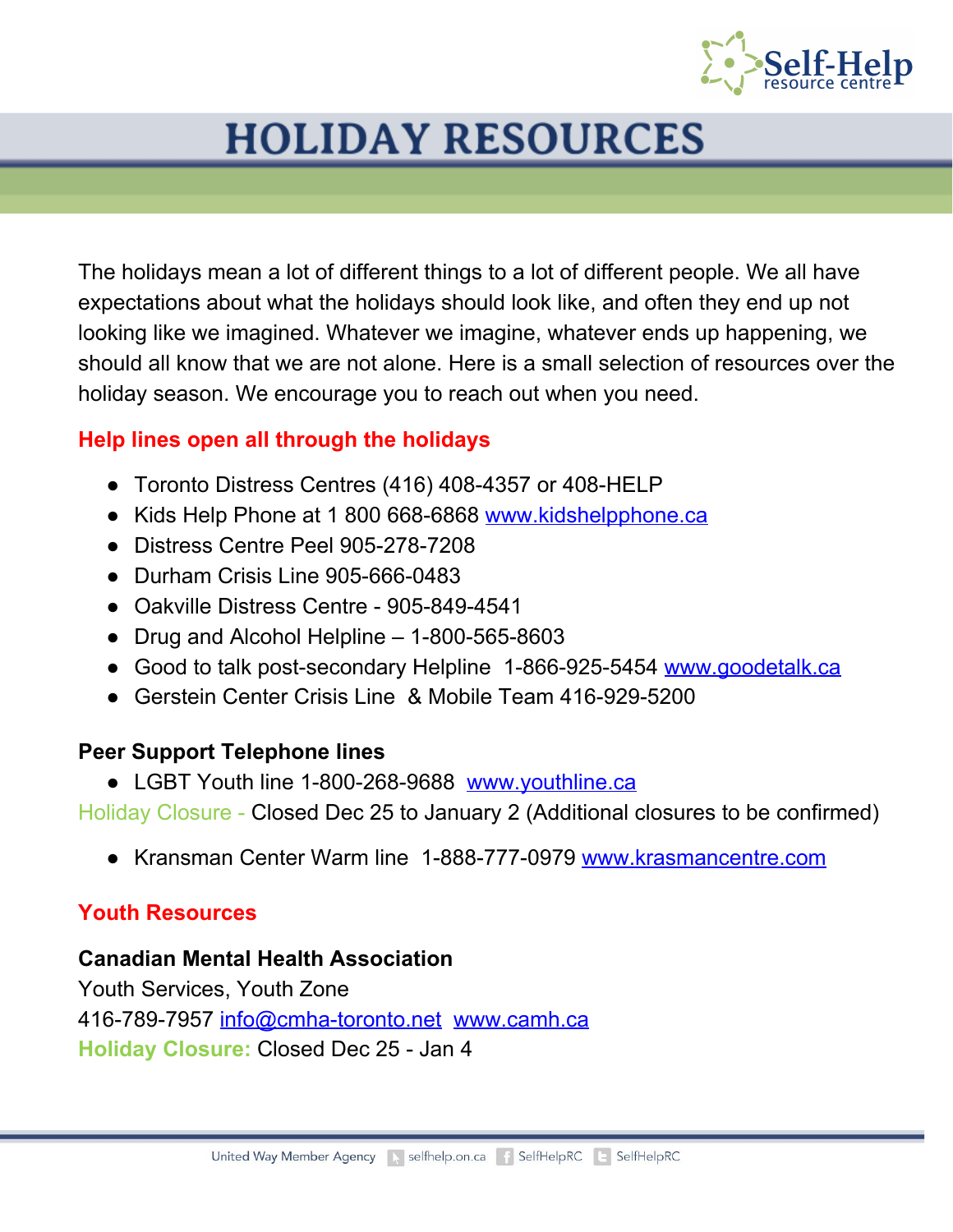

The holidays mean a lot of different things to a lot of different people. We all have expectations about what the holidays should look like, and often they end up not looking like we imagined. Whatever we imagine, whatever ends up happening, we should all know that we are not alone. Here is a small selection of resources over the holiday season. We encourage you to reach out when you need.

### **Help lines open all through the holidays**

- Toronto Distress Centres (416) 408-4357 or 408-HELP
- Kids Help Phone at 1 800 668-6868 [www.kidshelpphone.ca](http://www.kidshelpphone.ca/)
- Distress Centre Peel 905-278-7208
- Durham Crisis Line 905-666-0483
- Oakville Distress Centre 905-849-4541
- Drug and Alcohol Helpline 1-800-565-8603
- Good to talk post-secondary Helpline 1-866-925-5454 [www.goodetalk.ca](http://www.goodetalk.ca/)
- Gerstein Center Crisis Line & Mobile Team 416-929-5200

### **Peer Support Telephone lines**

**●** LGBT Youth line 1-800-268-9688 [www.youthline.ca](http://www.youthline.ca/)

Holiday Closure - Closed Dec 25 to January 2 (Additional closures to be confirmed)

**●** Kransman Center Warm line 1-888-777-0979 [www.krasmancentre.com](http://www.krasmancentre.com/)

### **Youth Resources**

### **Canadian Mental Health Association**

Youth Services, Youth Zone 416-789-7957 [info@cmha-toronto.net](mailto:info@cmha-toronto.net) [www.camh.ca](http://www.camh.ca/) **Holiday Closure:** Closed Dec 25 - Jan 4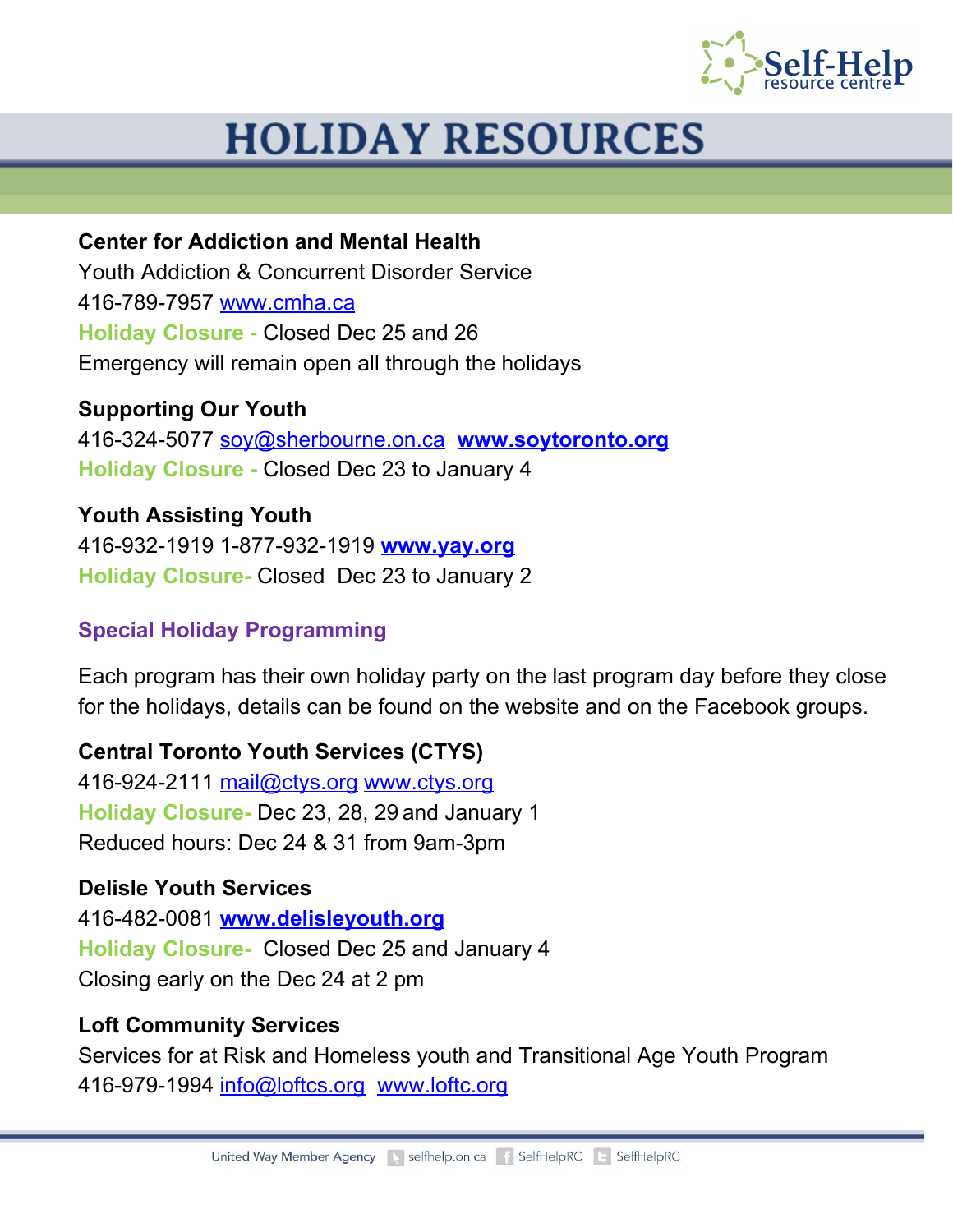

**Center for Addiction and Mental Health** Youth Addiction & Concurrent Disorder Service 416-789-7957 [www.cmha.ca](http://www.cmha.ca/) **Holiday Closure** - Closed Dec 25 and 26 Emergency will remain open all through the holidays

**Supporting Our Youth** 416-324-5077 [soy@sherbourne.on.ca](mailto:soy@sherbourne.on.ca) **[www.soytoronto.org](http://www.soytoronto.org/) Holiday Closure -** Closed Dec 23 to January 4

**Youth Assisting Youth** 416-932-1919 1-877-932-1919 **[www.yay.org](http://www.yay.org/) Holiday Closure-** Closed Dec 23 to January 2

## **Special Holiday Programming**

Each program has their own holiday party on the last program day before they close for the holidays, details can be found on the website and on the Facebook groups.

**Central Toronto Youth Services (CTYS)** 416-924-2111 [mail@ctys.org](mailto:mail@ctys.org) [www.ctys.org](http://www.ctys.org/) **Holiday Closure-** Dec 23, 28, 29 and January 1 Reduced hours: Dec 24 & 31 from 9am-3pm

### **Delisle Youth Services**

416-482-0081 **[www.delisleyouth.org](http://www.delisleyouth.org/) Holiday Closure-**  Closed Dec 25 and January 4 Closing early on the Dec 24 at 2 pm

## **Loft Community Services**

Services for at Risk and Homeless youth and Transitional Age Youth Program 416-979-1994 [info@loftcs.org](mailto:info@loftcs.org) [www.loftc.org](http://www.loftc.org/)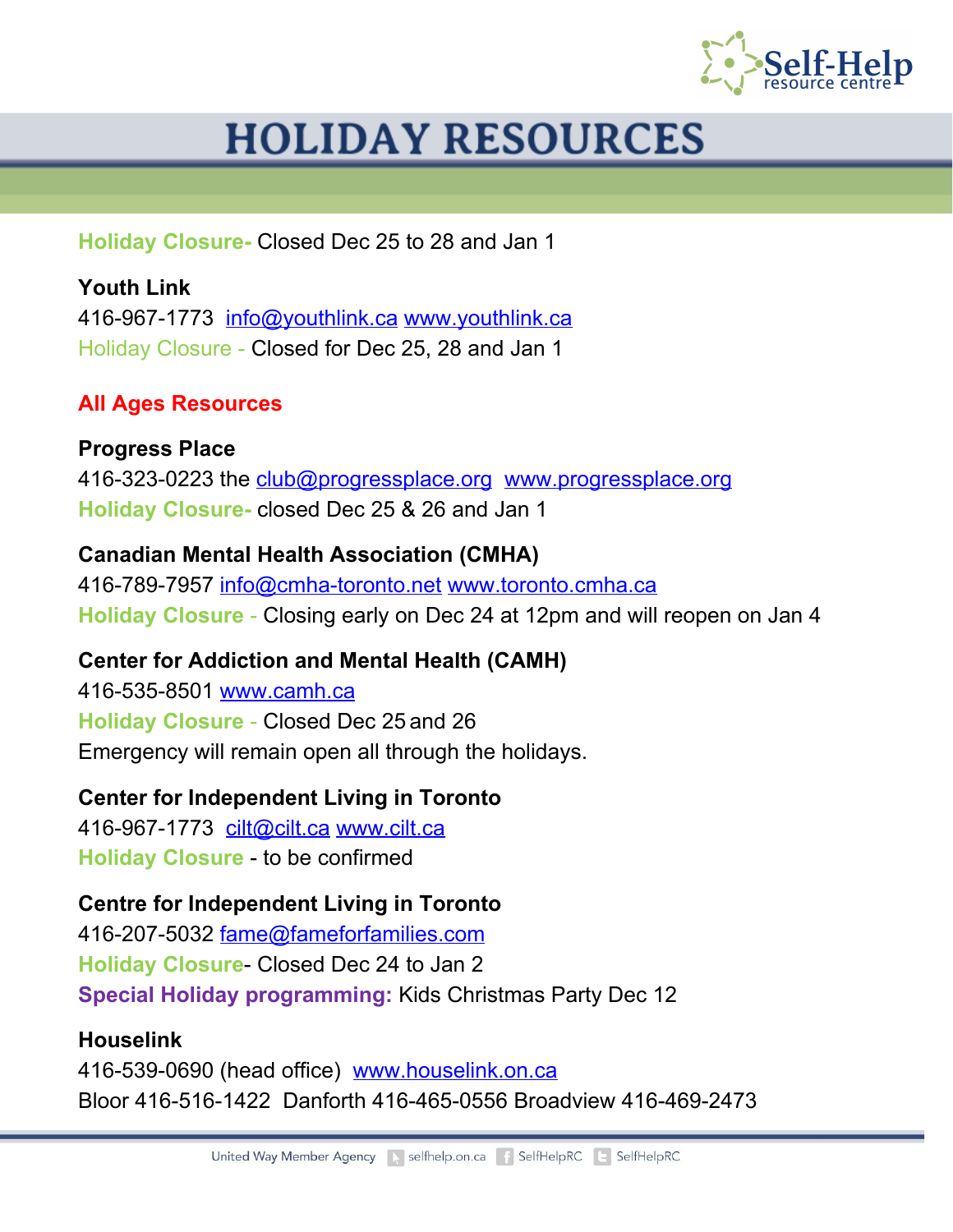

**Holiday Closure-** Closed Dec 25 to 28 and Jan 1

**Youth Link** 416-967-1773 [info@youthlink.ca](mailto:info@youthlink.ca) [www.youthlink.ca](http://www.youthlink.ca/) Holiday Closure - Closed for Dec 25, 28 and Jan 1

### **All Ages Resources**

**Progress Place** 416-323-0223 the [club@progressplace.org](mailto:club@progressplace.org) [www.progressplace.org](http://www.progressplace.org/) **Holiday Closure-** closed Dec 25 & 26 and Jan 1

**Canadian Mental Health Association (CMHA)** 416-789-7957 [info@cmha-toronto.net](mailto:info@cmha-toronto.net) [www.toronto.cmha.ca](http://www.toronto.cmha.ca/) **Holiday Closure** - Closing early on Dec 24 at 12pm and will reopen on Jan 4

**Center for Addiction and Mental Health (CAMH)** 416-535-8501 [www.camh.ca](http://www.camh.ca/) **Holiday Closure** - Closed Dec 25 and 26 Emergency will remain open all through the holidays.

**Center for Independent Living in Toronto**

416-967-1773 [cilt@cilt.ca](mailto:cilt@cilt.ca) [www.cilt.ca](http://www.cilt.ca/) **Holiday Closure** - to be confirmed

**Centre for Independent Living in Toronto**

416-207-5032 [fame@fameforfamilies.com](mailto:fame@fameforfamilies.com) **Holiday Closure**- Closed Dec 24 to Jan 2 **Special Holiday programming:** Kids Christmas Party Dec 12

#### **Houselink**

416-539-0690 (head office) [www.houselink.on.ca](http://www.houselink.on.ca/) Bloor 416-516-1422 Danforth 416-465-0556 Broadview 416-469-2473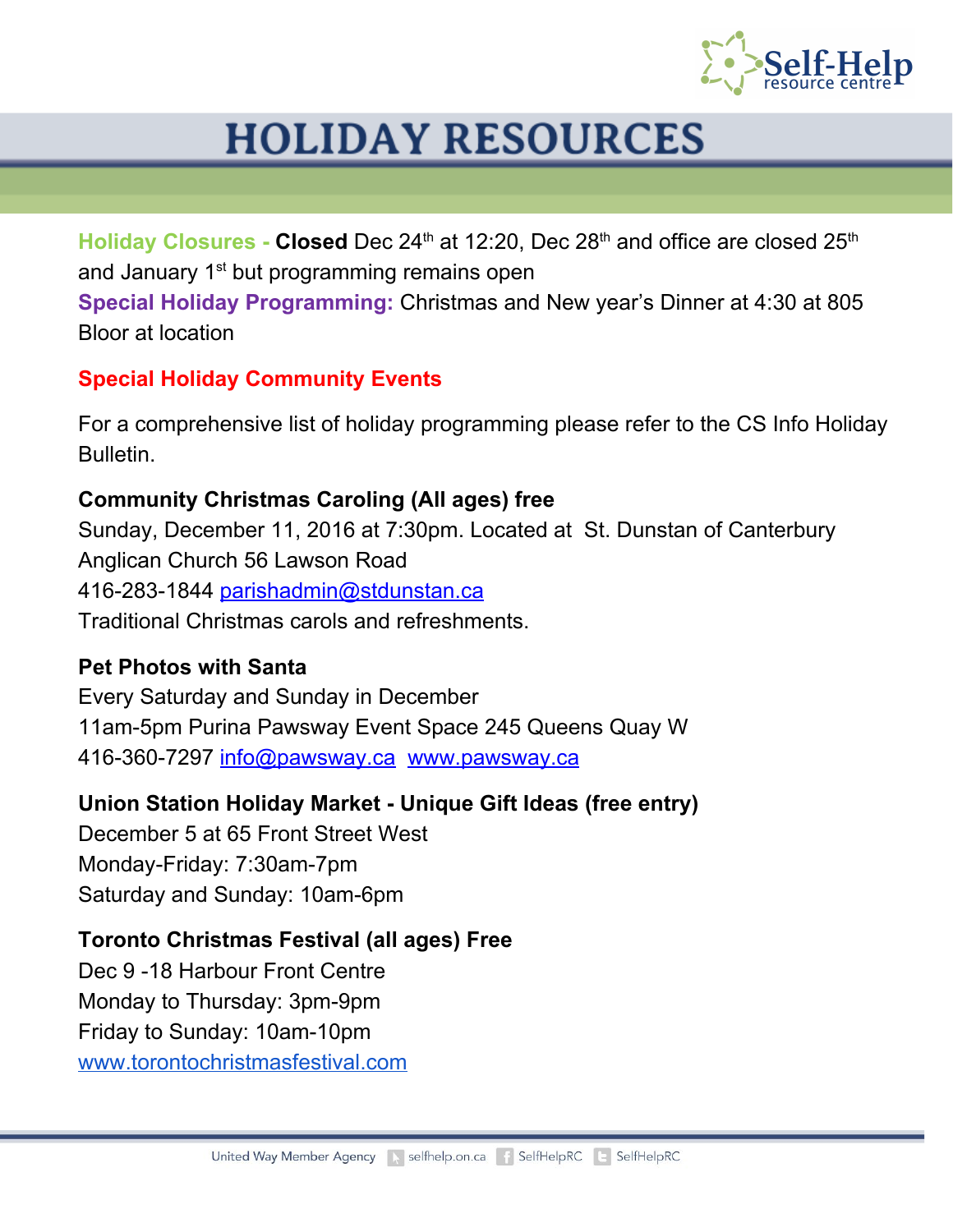

Holiday Closures - Closed Dec 24<sup>th</sup> at 12:20, Dec 28<sup>th</sup> and office are closed 25<sup>th</sup> and January 1<sup>st</sup> but programming remains open **Special Holiday Programming:** Christmas and New year's Dinner at 4:30 at 805 Bloor at location

## **Special Holiday Community Events**

For a comprehensive list of holiday programming please refer to the CS Info Holiday Bulletin.

### **Community Christmas Caroling (All ages) free**

Sunday, December 11, 2016 at 7:30pm. Located at St. Dunstan of Canterbury Anglican Church 56 Lawson Road 416-283-1844 [parishadmin@stdunstan.ca](mailto:parishadmin@stdunstan.ca) Traditional Christmas carols and refreshments.

### **Pet Photos with Santa**

Every Saturday and Sunday in December 11am-5pm Purina Pawsway Event Space 245 Queens Quay W 416-360-7297 [info@pawsway.ca](mailto:info@pawsay.ca) [www.pawsway.ca](http://www.pawsway.ca/)

### **Union Station Holiday Market - Unique Gift Ideas (free entry)**

December 5 at 65 Front Street West Monday-Friday: 7:30am-7pm Saturday and Sunday: 10am-6pm

### **Toronto Christmas Festival (all ages) Free**

Dec 9 -18 Harbour Front Centre Monday to Thursday: 3pm-9pm Friday to Sunday: 10am-10pm [www.torontochristmasfestival.com](http://www.torontochristmasfestival.com/)